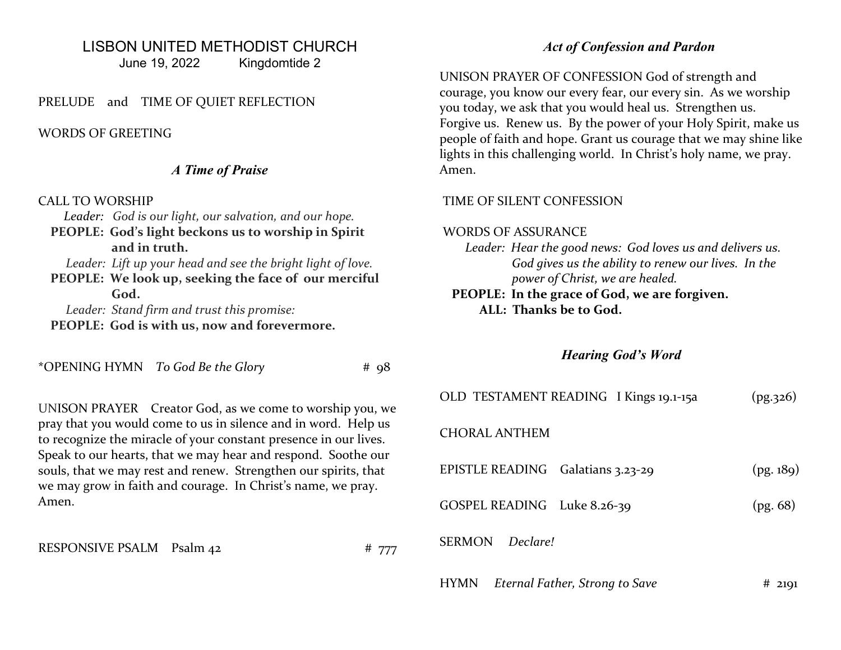# LISBON UNITED METHODIST CHURCH

June 19, 2022 Kingdomtide 2

### PRELUDE and TIME OF QUIET REFLECTION

#### WORDS OF GREETING

#### A Time of Praise

#### CALL TO WORSHIP

Leader: God is our light, our salvation, and our hope.

 PEOPLE: God's light beckons us to worship in Spirit and in truth.

Leader: Lift up your head and see the bright light of love.

 PEOPLE: We look up, seeking the face of our merciful God.

Leader: Stand firm and trust this promise:

PEOPLE: God is with us, now and forevermore.

\*OPENING HYMN  $T_0$  God Be the Glory  $\#$  98

UNISON PRAYER Creator God, as we come to worship you, we pray that you would come to us in silence and in word. Help us to recognize the miracle of your constant presence in our lives. Speak to our hearts, that we may hear and respond. Soothe our souls, that we may rest and renew. Strengthen our spirits, that we may grow in faith and courage. In Christ's name, we pray. Amen.

RESPONSIVE PSALM Psalm 42 # 777

## Act of Confession and Pardon

UNISON PRAYER OF CONFESSION God of strength and courage, you know our every fear, our every sin. As we worship you today, we ask that you would heal us. Strengthen us. Forgive us. Renew us. By the power of your Holy Spirit, make us people of faith and hope. Grant us courage that we may shine like lights in this challenging world. In Christ's holy name, we pray. Amen.

#### TIME OF SILENT CONFESSION

### WORDS OF ASSURANCE

- Leader: Hear the good news: God loves us and delivers us. God gives us the ability to renew our lives. In the power of Christ, we are healed.
- PEOPLE: In the grace of God, we are forgiven. ALL: Thanks be to God.

## Hearing God's Word

| OLD TESTAMENT READING I Kings 19.1-15a        | (pg.326)  |
|-----------------------------------------------|-----------|
| <b>CHORAL ANTHEM</b>                          |           |
| EPISTLE READING Galatians 3.23-29             | (pg. 189) |
| GOSPEL READING Luke 8.26-39                   | (pg. 68)  |
| SERMON<br>Declare!                            |           |
| Eternal Father, Strong to Save<br><b>HYMN</b> | #<br>2191 |